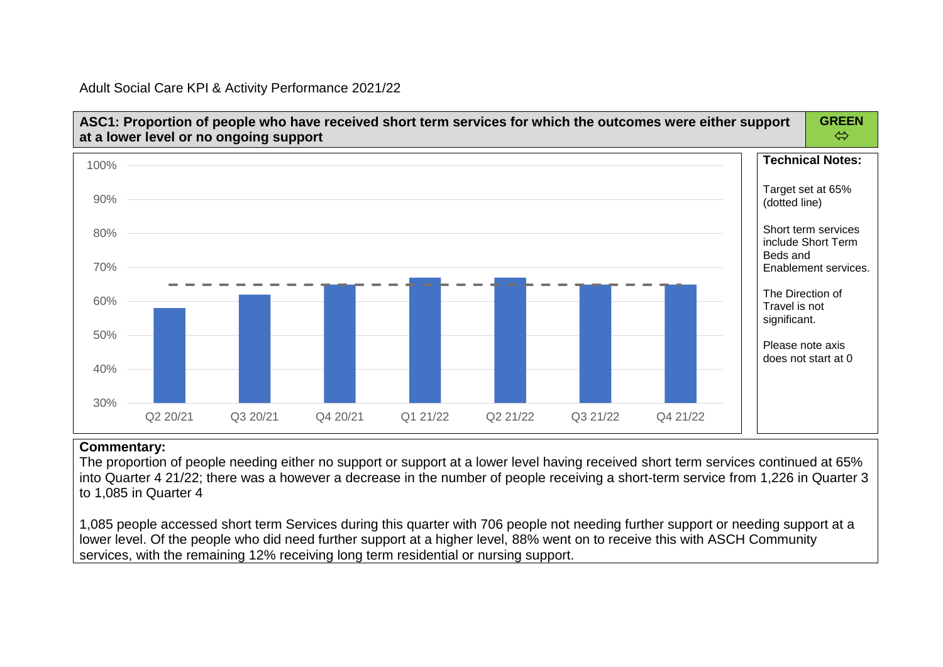Adult Social Care KPI & Activity Performance 2021/22



### **Commentary:**

The proportion of people needing either no support or support at a lower level having received short term services continued at 65% into Quarter 4 21/22; there was a however a decrease in the number of people receiving a short-term service from 1,226 in Quarter 3 to 1,085 in Quarter 4

1,085 people accessed short term Services during this quarter with 706 people not needing further support or needing support at a lower level. Of the people who did need further support at a higher level, 88% went on to receive this with ASCH Community services, with the remaining 12% receiving long term residential or nursing support.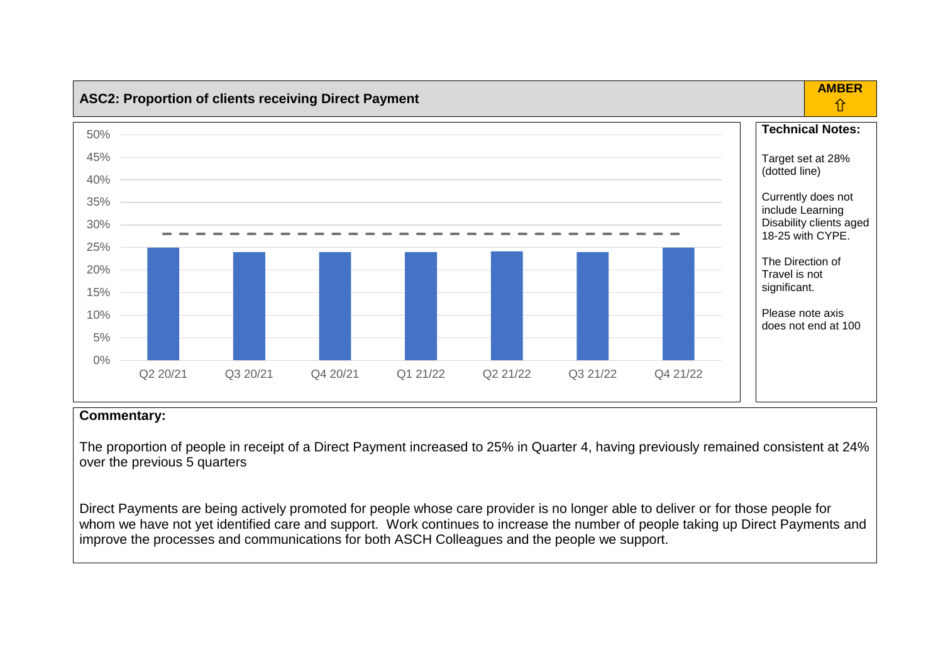

The proportion of people in receipt of a Direct Payment increased to 25% in Quarter 4, having previously remained consistent at 24% over the previous 5 quarters

Direct Payments are being actively promoted for people whose care provider is no longer able to deliver or for those people for whom we have not yet identified care and support. Work continues to increase the number of people taking up Direct Payments and improve the processes and communications for both ASCH Colleagues and the people we support.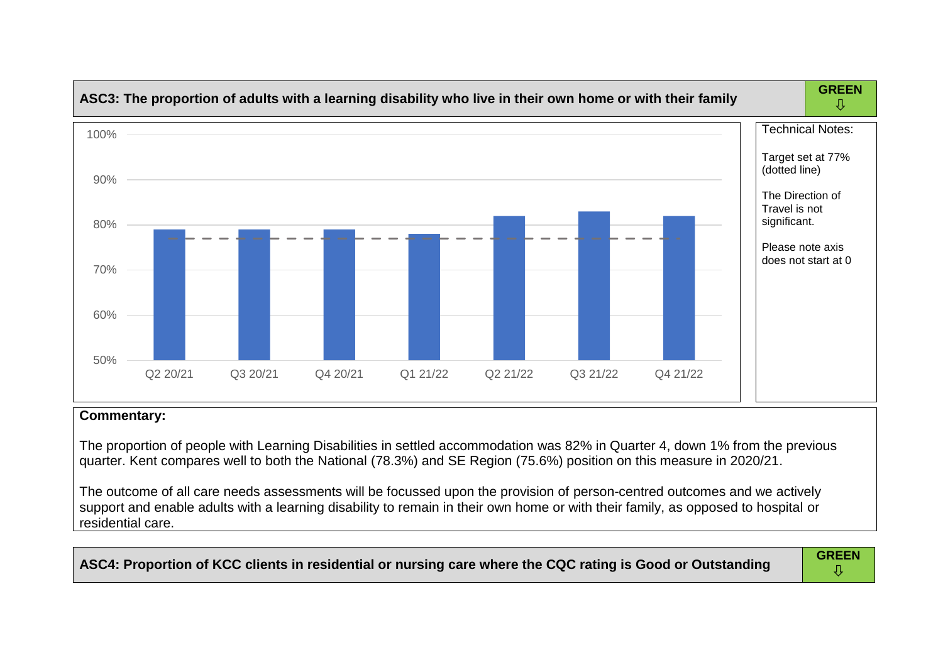

The proportion of people with Learning Disabilities in settled accommodation was 82% in Quarter 4, down 1% from the previous quarter. Kent compares well to both the National (78.3%) and SE Region (75.6%) position on this measure in 2020/21.

The outcome of all care needs assessments will be focussed upon the provision of person-centred outcomes and we actively support and enable adults with a learning disability to remain in their own home or with their family, as opposed to hospital or residential care.

| ASC4: Proportion of KCC clients in residential or nursing care where the CQC rating is Good or Outstanding | <b>GREEN</b> |
|------------------------------------------------------------------------------------------------------------|--------------|
|------------------------------------------------------------------------------------------------------------|--------------|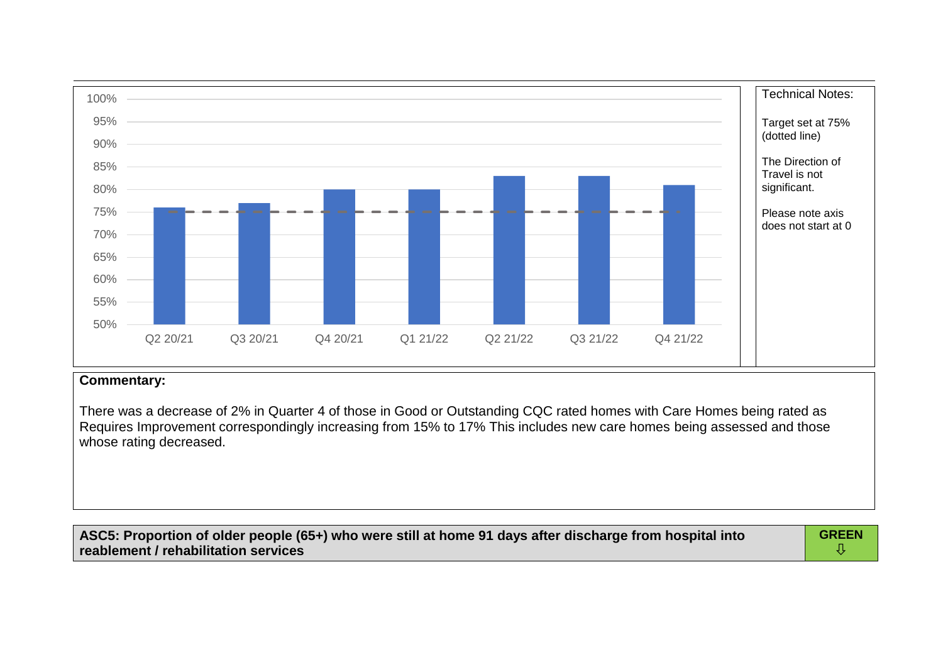

There was a decrease of 2% in Quarter 4 of those in Good or Outstanding CQC rated homes with Care Homes being rated as Requires Improvement correspondingly increasing from 15% to 17% This includes new care homes being assessed and those whose rating decreased.

| ASC5: Proportion of older people (65+) who were still at home 91 days after discharge from hospital into | <b>GREEN</b> |
|----------------------------------------------------------------------------------------------------------|--------------|
| reablement / rehabilitation services                                                                     |              |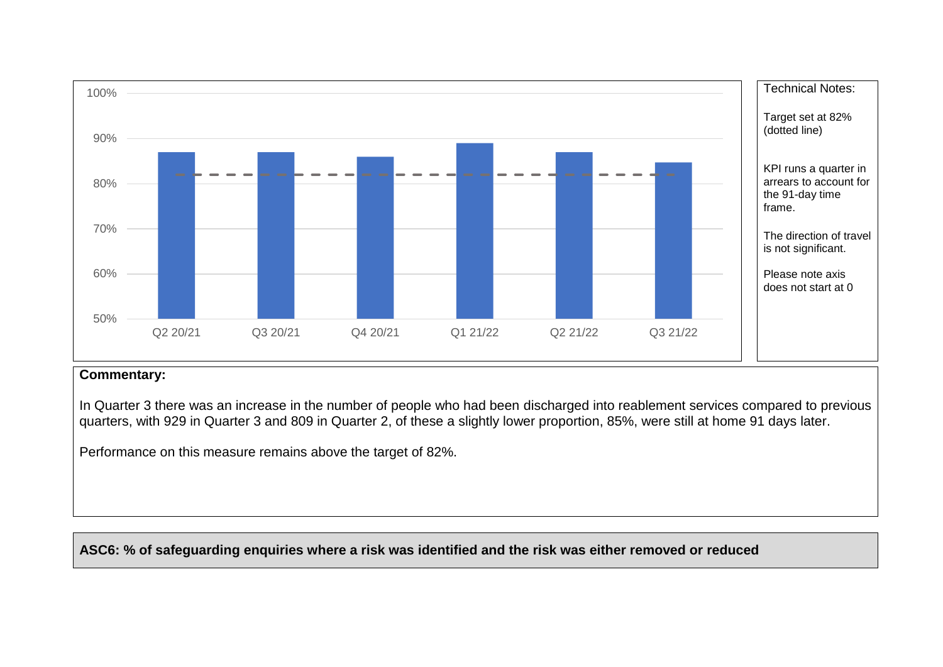

In Quarter 3 there was an increase in the number of people who had been discharged into reablement services compared to previous quarters, with 929 in Quarter 3 and 809 in Quarter 2, of these a slightly lower proportion, 85%, were still at home 91 days later.

Performance on this measure remains above the target of 82%.

**ASC6: % of safeguarding enquiries where a risk was identified and the risk was either removed or reduced**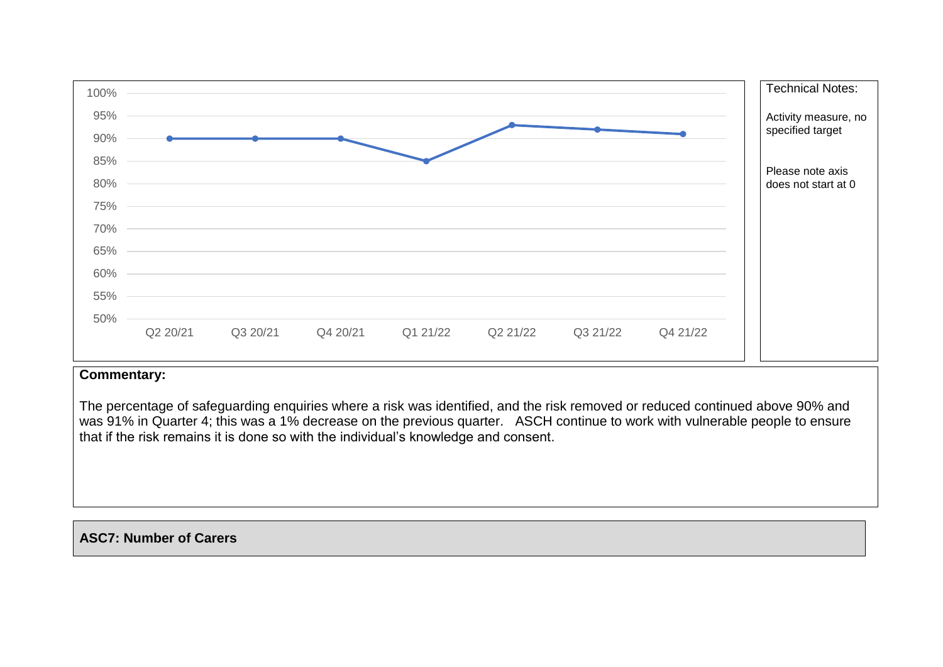

The percentage of safeguarding enquiries where a risk was identified, and the risk removed or reduced continued above 90% and was 91% in Quarter 4; this was a 1% decrease on the previous quarter. ASCH continue to work with vulnerable people to ensure that if the risk remains it is done so with the individual's knowledge and consent.

## **ASC7: Number of Carers**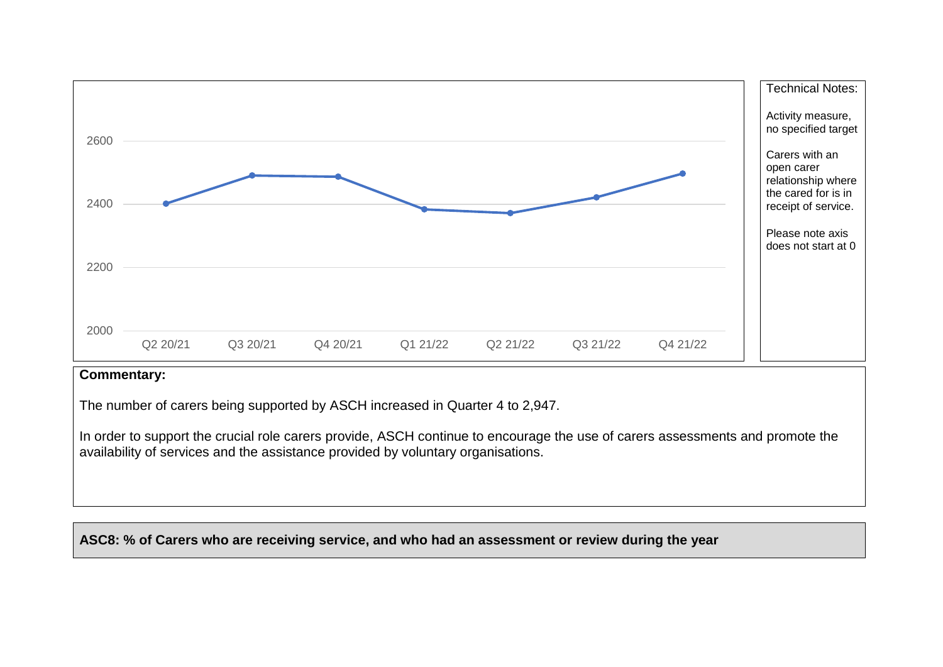

The number of carers being supported by ASCH increased in Quarter 4 to 2,947.

In order to support the crucial role carers provide, ASCH continue to encourage the use of carers assessments and promote the availability of services and the assistance provided by voluntary organisations.

**ASC8: % of Carers who are receiving service, and who had an assessment or review during the year**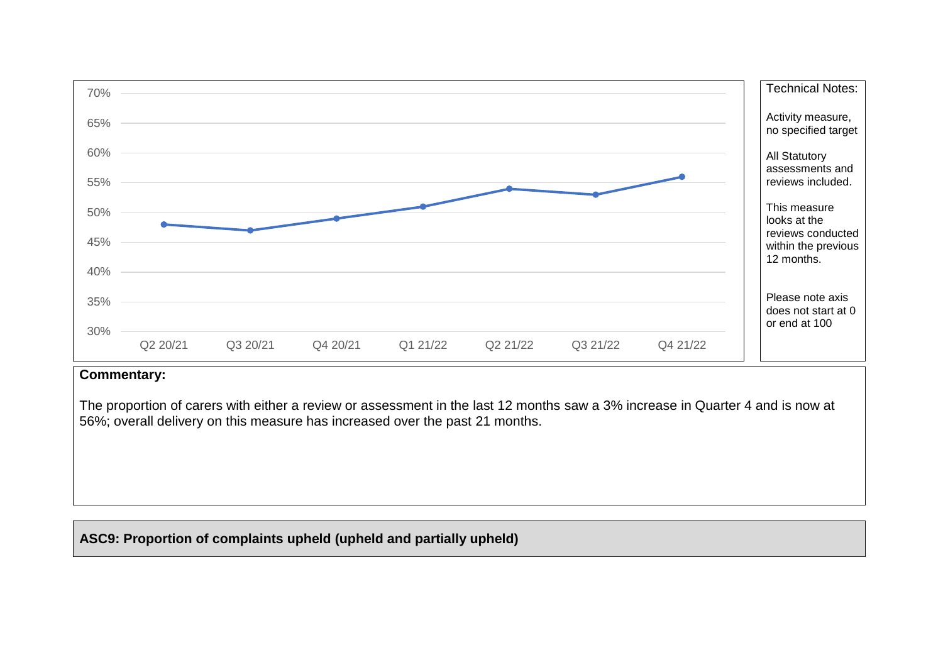

The proportion of carers with either a review or assessment in the last 12 months saw a 3% increase in Quarter 4 and is now at 56%; overall delivery on this measure has increased over the past 21 months.

# **ASC9: Proportion of complaints upheld (upheld and partially upheld)**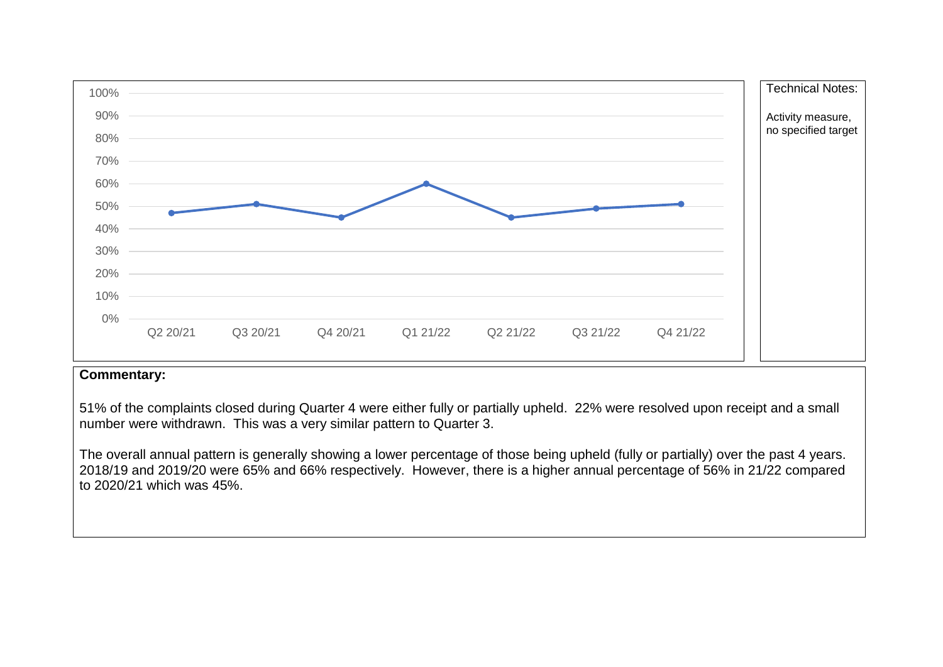

51% of the complaints closed during Quarter 4 were either fully or partially upheld. 22% were resolved upon receipt and a small number were withdrawn. This was a very similar pattern to Quarter 3.

The overall annual pattern is generally showing a lower percentage of those being upheld (fully or partially) over the past 4 years. 2018/19 and 2019/20 were 65% and 66% respectively. However, there is a higher annual percentage of 56% in 21/22 compared to 2020/21 which was 45%.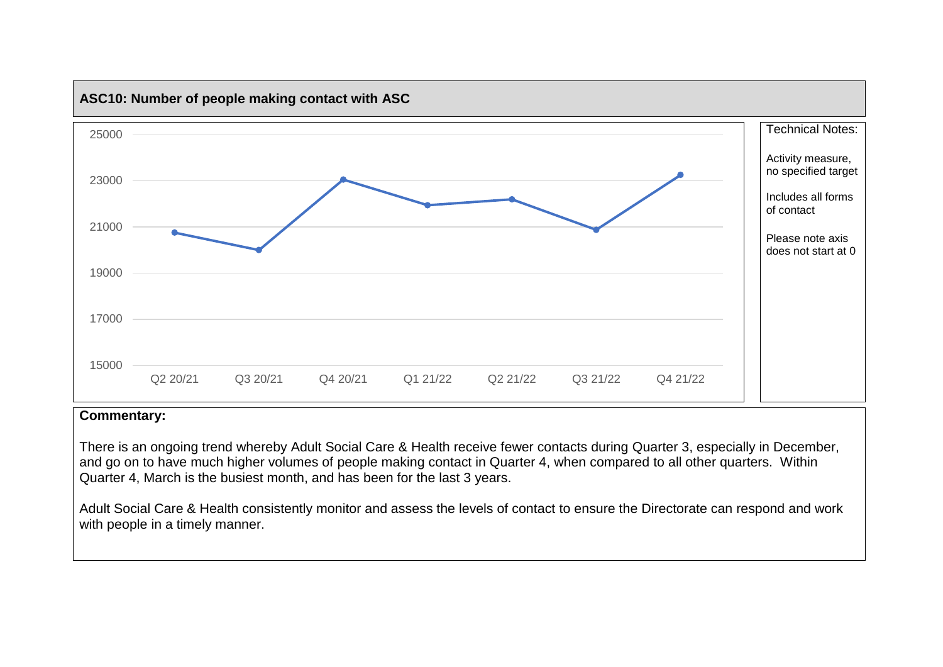

There is an ongoing trend whereby Adult Social Care & Health receive fewer contacts during Quarter 3, especially in December, and go on to have much higher volumes of people making contact in Quarter 4, when compared to all other quarters. Within Quarter 4, March is the busiest month, and has been for the last 3 years.

Adult Social Care & Health consistently monitor and assess the levels of contact to ensure the Directorate can respond and work with people in a timely manner.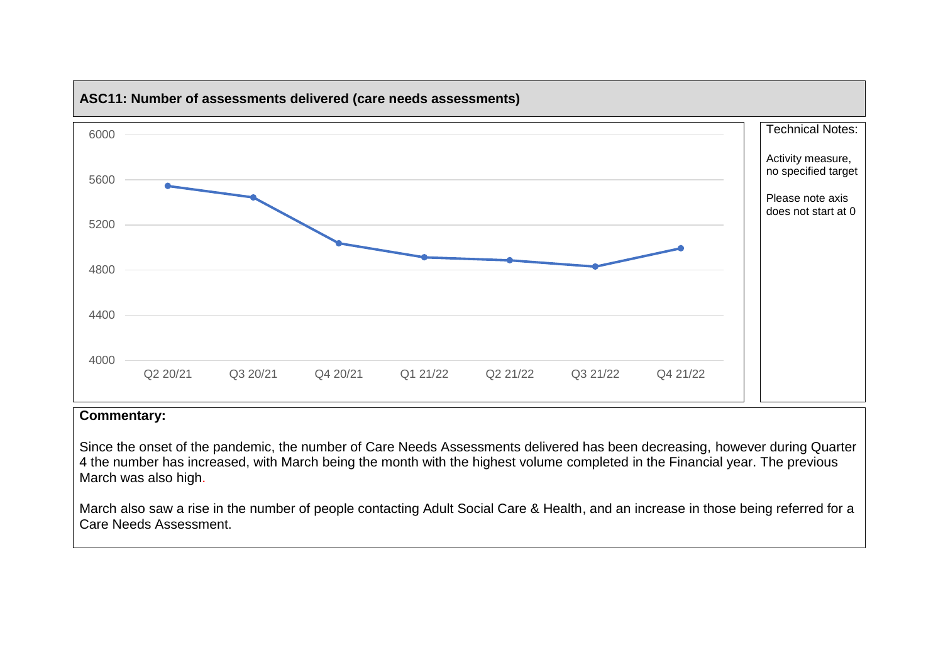

Since the onset of the pandemic, the number of Care Needs Assessments delivered has been decreasing, however during Quarter 4 the number has increased, with March being the month with the highest volume completed in the Financial year. The previous March was also high.

March also saw a rise in the number of people contacting Adult Social Care & Health, and an increase in those being referred for a Care Needs Assessment.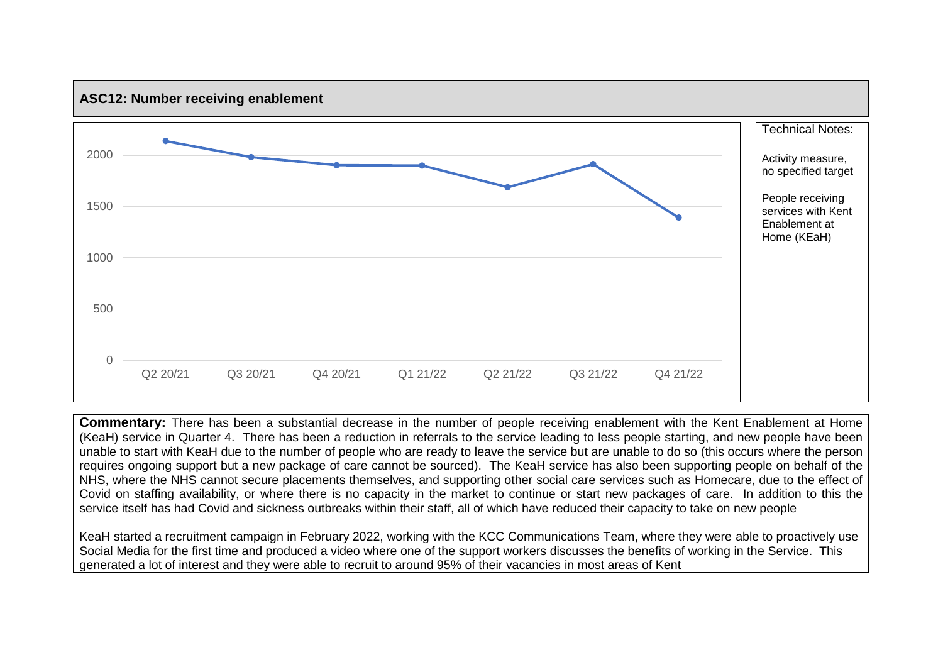

**Commentary:** There has been a substantial decrease in the number of people receiving enablement with the Kent Enablement at Home (KeaH) service in Quarter 4. There has been a reduction in referrals to the service leading to less people starting, and new people have been unable to start with KeaH due to the number of people who are ready to leave the service but are unable to do so (this occurs where the person requires ongoing support but a new package of care cannot be sourced). The KeaH service has also been supporting people on behalf of the NHS, where the NHS cannot secure placements themselves, and supporting other social care services such as Homecare, due to the effect of Covid on staffing availability, or where there is no capacity in the market to continue or start new packages of care. In addition to this the service itself has had Covid and sickness outbreaks within their staff, all of which have reduced their capacity to take on new people

KeaH started a recruitment campaign in February 2022, working with the KCC Communications Team, where they were able to proactively use Social Media for the first time and produced a video where one of the support workers discusses the benefits of working in the Service. This generated a lot of interest and they were able to recruit to around 95% of their vacancies in most areas of Kent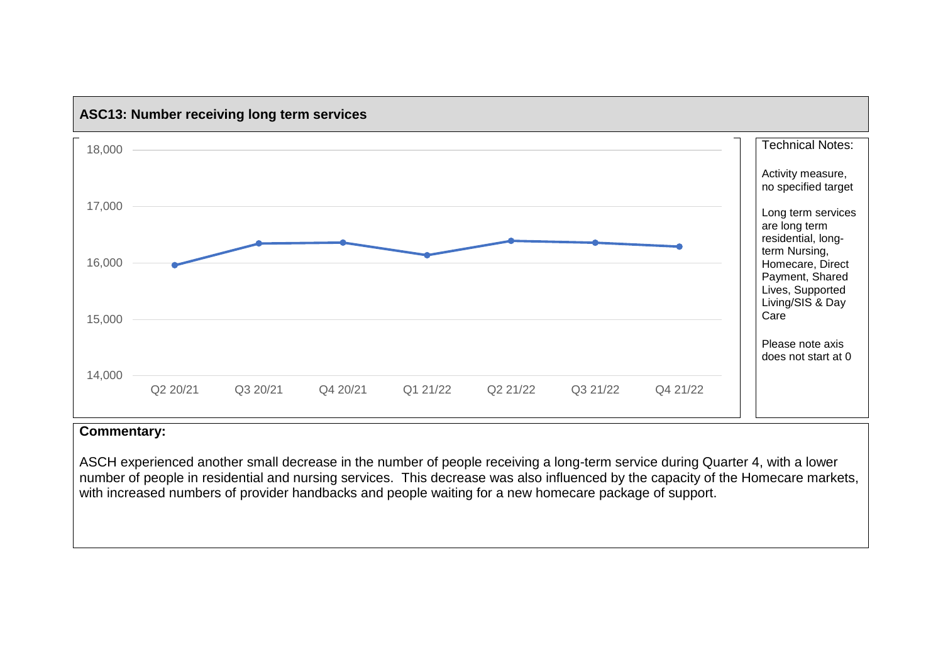

# **ASC13: Number receiving long term services**

## **Commentary:**

ASCH experienced another small decrease in the number of people receiving a long-term service during Quarter 4, with a lower number of people in residential and nursing services. This decrease was also influenced by the capacity of the Homecare markets, with increased numbers of provider handbacks and people waiting for a new homecare package of support.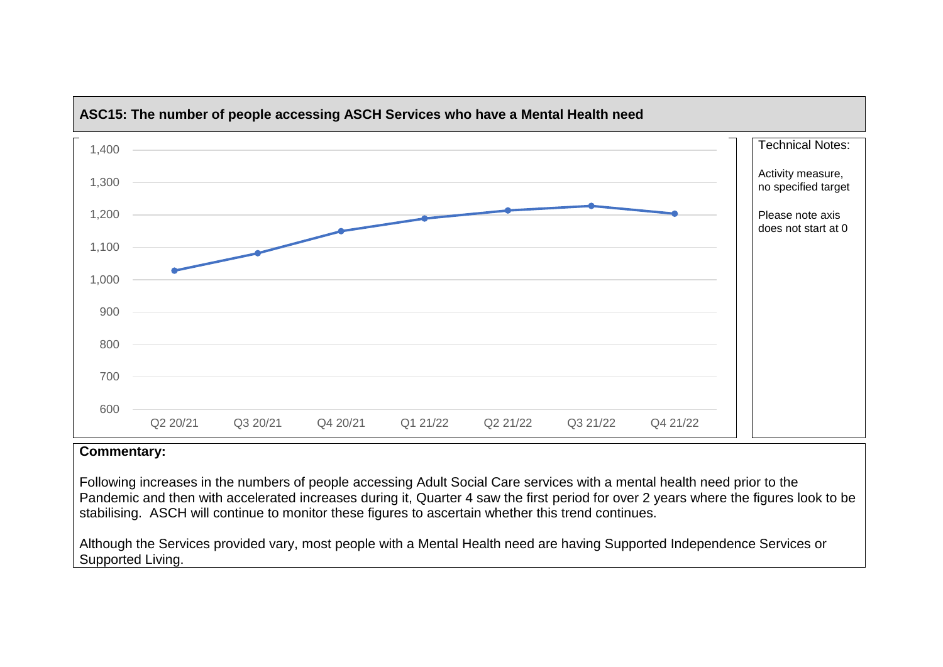

# **ASC15: The number of people accessing ASCH Services who have a Mental Health need**

### **Commentary:**

Following increases in the numbers of people accessing Adult Social Care services with a mental health need prior to the Pandemic and then with accelerated increases during it, Quarter 4 saw the first period for over 2 years where the figures look to be stabilising. ASCH will continue to monitor these figures to ascertain whether this trend continues.

Although the Services provided vary, most people with a Mental Health need are having Supported Independence Services or Supported Living.